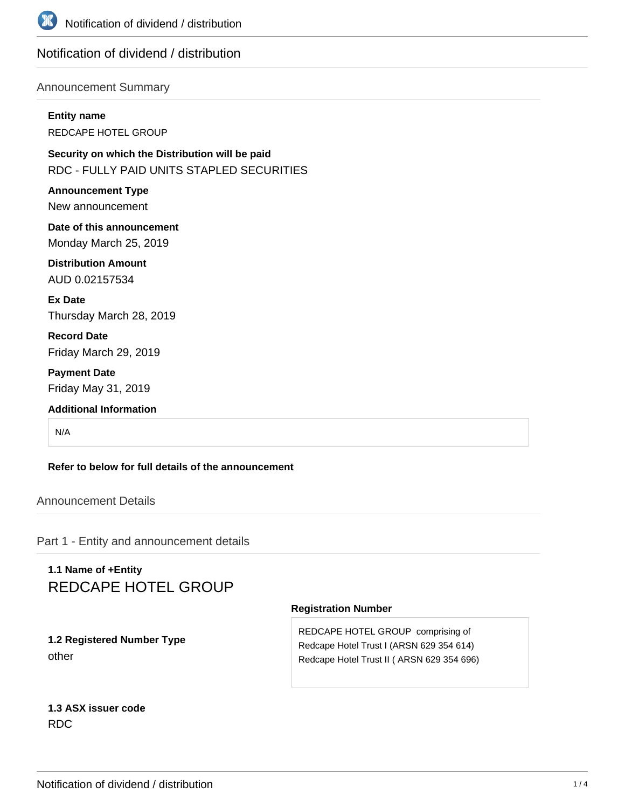

## Notification of dividend / distribution

### Announcement Summary

**Entity name** REDCAPE HOTEL GROUP

**Security on which the Distribution will be paid** RDC - FULLY PAID UNITS STAPLED SECURITIES

**Announcement Type** New announcement

**Date of this announcement** Monday March 25, 2019

**Distribution Amount** AUD 0.02157534

**Ex Date** Thursday March 28, 2019

**Record Date** Friday March 29, 2019

**Payment Date** Friday May 31, 2019

**Additional Information**

N/A

**Refer to below for full details of the announcement**

Announcement Details

Part 1 - Entity and announcement details

# **1.1 Name of +Entity** REDCAPE HOTEL GROUP

#### **Registration Number**

**1.2 Registered Number Type** other

REDCAPE HOTEL GROUP comprising of Redcape Hotel Trust I (ARSN 629 354 614) Redcape Hotel Trust II ( ARSN 629 354 696)

**1.3 ASX issuer code** RDC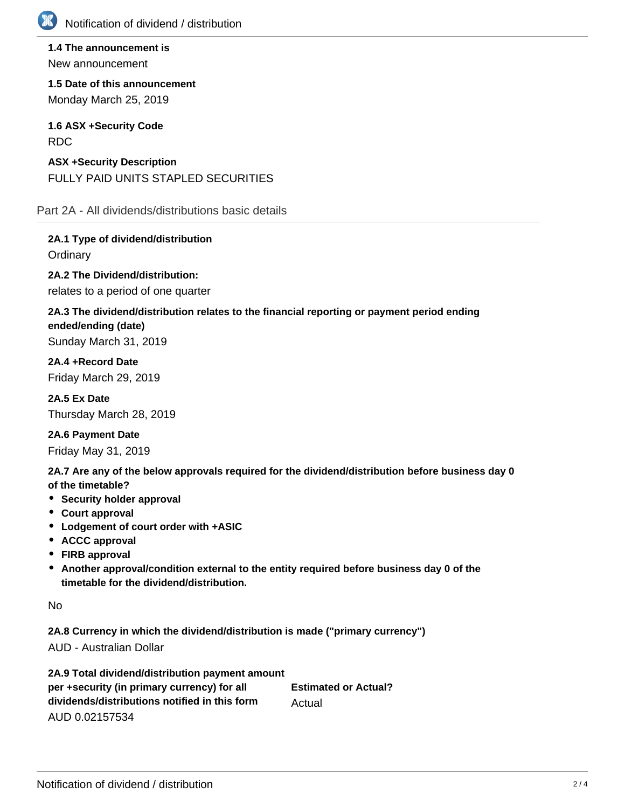

**1.4 The announcement is** New announcement

**1.5 Date of this announcement** Monday March 25, 2019

**1.6 ASX +Security Code** RDC

**ASX +Security Description** FULLY PAID UNITS STAPLED SECURITIES

Part 2A - All dividends/distributions basic details

**2A.1 Type of dividend/distribution Ordinary** 

**2A.2 The Dividend/distribution:**

relates to a period of one quarter

## **2A.3 The dividend/distribution relates to the financial reporting or payment period ending ended/ending (date)**

Sunday March 31, 2019

**2A.4 +Record Date** Friday March 29, 2019

**2A.5 Ex Date** Thursday March 28, 2019

**2A.6 Payment Date** Friday May 31, 2019

**2A.7 Are any of the below approvals required for the dividend/distribution before business day 0 of the timetable?**

- **•** Security holder approval
- **Court approval**
- **Lodgement of court order with +ASIC**
- **ACCC approval**
- **FIRB approval**
- **Another approval/condition external to the entity required before business day 0 of the timetable for the dividend/distribution.**

No

**2A.8 Currency in which the dividend/distribution is made ("primary currency")** AUD - Australian Dollar

**2A.9 Total dividend/distribution payment amount per +security (in primary currency) for all dividends/distributions notified in this form** AUD 0.02157534 **Estimated or Actual?** Actual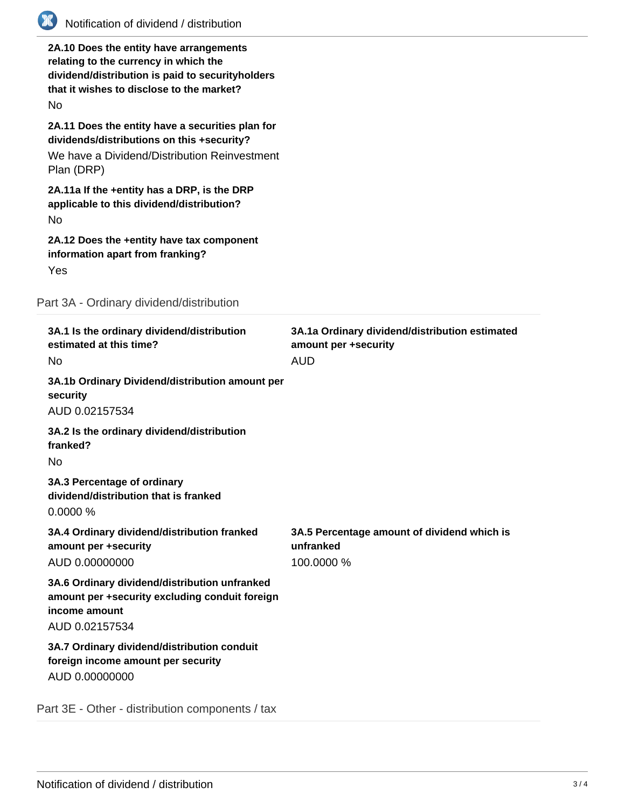

**2A.10 Does the entity have arrangements relating to the currency in which the dividend/distribution is paid to securityholders that it wishes to disclose to the market?** No **2A.11 Does the entity have a securities plan for dividends/distributions on this +security?** We have a Dividend/Distribution Reinvestment

**2A.11a If the +entity has a DRP, is the DRP applicable to this dividend/distribution?**

No

Plan (DRP)

**2A.12 Does the +entity have tax component information apart from franking?** Yes

Part 3A - Ordinary dividend/distribution

| 3A.1 Is the ordinary dividend/distribution<br>estimated at this time?<br>No.                                                       | 3A.1a Ordinary dividend/distribution estimated<br>amount per +security<br><b>AUD</b> |
|------------------------------------------------------------------------------------------------------------------------------------|--------------------------------------------------------------------------------------|
| 3A.1b Ordinary Dividend/distribution amount per<br>security<br>AUD 0.02157534                                                      |                                                                                      |
| 3A.2 Is the ordinary dividend/distribution<br>franked?<br><b>No</b>                                                                |                                                                                      |
| 3A.3 Percentage of ordinary<br>dividend/distribution that is franked<br>0.0000%                                                    |                                                                                      |
| 3A.4 Ordinary dividend/distribution franked<br>amount per +security<br>AUD 0.00000000                                              | 3A.5 Percentage amount of dividend which is<br>unfranked<br>100.0000 %               |
| 3A.6 Ordinary dividend/distribution unfranked<br>amount per +security excluding conduit foreign<br>income amount<br>AUD 0.02157534 |                                                                                      |
| 3A.7 Ordinary dividend/distribution conduit<br>foreign income amount per security<br>AUD 0.00000000                                |                                                                                      |
| Part 3E - Other - distribution components / tax                                                                                    |                                                                                      |